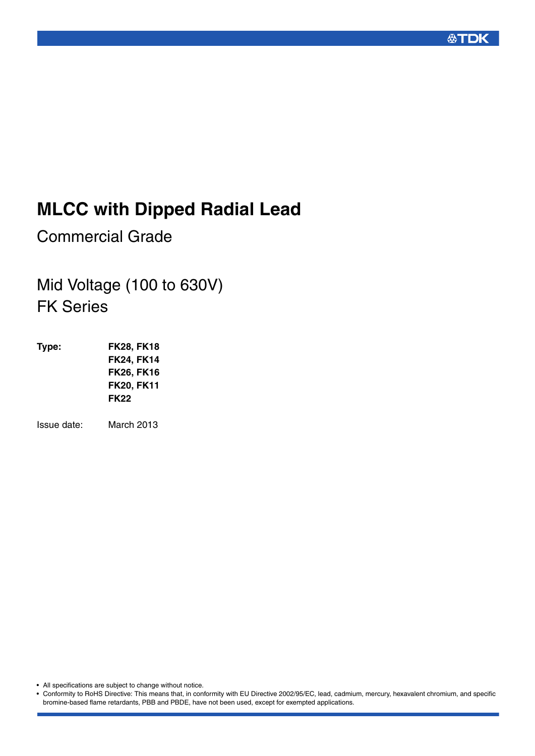

# **MLCC with Dipped Radial Lead**

Commercial Grade

# Mid Voltage (100 to 630V) FK Series

**Type: FK28, FK18 FK24, FK14 FK26, FK16 FK20, FK11 FK22**

Issue date: March 2013

• All specifications are subject to change without notice.

• Conformity to RoHS Directive: This means that, in conformity with EU Directive 2002/95/EC, lead, cadmium, mercury, hexavalent chromium, and specific bromine-based flame retardants, PBB and PBDE, have not been used, except for exempted applications.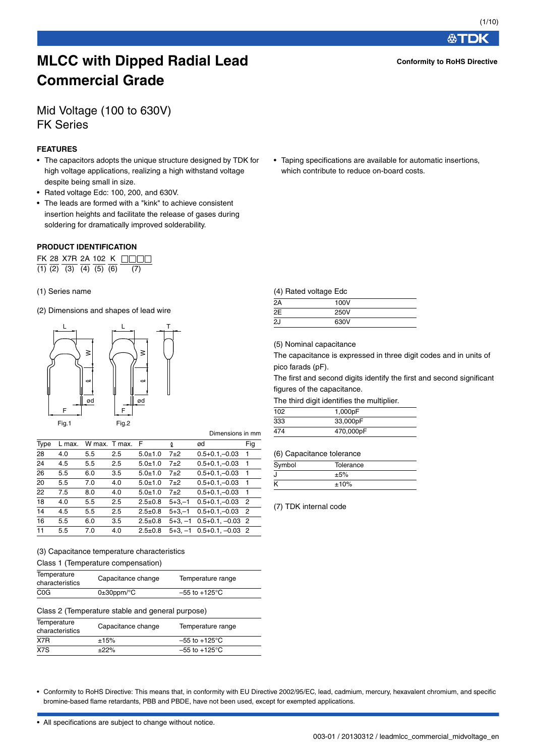**公丁口K** 

**Conformity to RoHS Directive**

# **MLCC with Dipped Radial Lead Commercial Grade**

# Mid Voltage (100 to 630V) FK Series

#### **FEATURES**

- The capacitors adopts the unique structure designed by TDK for high voltage applications, realizing a high withstand voltage despite being small in size.
- Rated voltage Edc: 100, 200, and 630V.
- The leads are formed with a "kink" to achieve consistent insertion heights and facilitate the release of gases during soldering for dramatically improved solderability.

#### **PRODUCT IDENTIFICATION**

|  |  |  | FK 28 X7R 2A 102 K                        |
|--|--|--|-------------------------------------------|
|  |  |  | $(1)$ $(2)$ $(3)$ $(4)$ $(5)$ $(6)$ $(7)$ |

#### (1) Series name

(2) Dimensions and shapes of lead wire



|      |        |     |               |               |             | Dimensions in mm                |     |
|------|--------|-----|---------------|---------------|-------------|---------------------------------|-----|
| Type | L max. |     | W max. T max. | F             | Q.          | ød                              | Fig |
| 28   | 4.0    | 5.5 | $2.5\,$       | $5.0 + 1.0$   | $7+2$       | $0.5+0.1,-0.03$                 | -1  |
| 24   | 4.5    | 5.5 | $2.5\,$       | $5.0 + 1.0$   | $7+2$       | $0.5 + 0.1 - 0.03$              | -1  |
| 26   | 5.5    | 6.0 | 3.5           | $5.0 + 1.0$   | $7+2$       | $0.5 + 0.1 - 0.03$              | -1  |
| 20   | 5.5    | 7.0 | 4.0           | $5.0 + 1.0$   | $7+2$       | $0.5 + 0.1 - 0.03$              | -1  |
| 22   | 7.5    | 8.0 | 4.0           | $5.0 + 1.0$   | $7+2$       | $0.5 + 0.1 - 0.03$              | -1  |
| 18   | 4.0    | 5.5 | 2.5           | $2.5 \pm 0.8$ | $5 + 3 - 1$ | $0.5 + 0.1 - 0.03$              | - 2 |
| 14   | 4.5    | 5.5 | 2.5           | $2.5 \pm 0.8$ | $5 + 3 - 1$ | $0.5 + 0.1 - 0.03$              | - 2 |
| 16   | 5.5    | 6.0 | 3.5           | $2.5 \pm 0.8$ |             | $5+3$ . $-1$ 0.5+0.1. $-0.03$ 2 |     |
| 11   | 5.5    | 7.0 | 4.0           | $2.5 \pm 0.8$ |             | $5+3$ , $-1$ 0.5+0.1, $-0.03$ 2 |     |

#### (3) Capacitance temperature characteristics Class 1 (Temperature compensation)

| Temperature<br>characteristics | Capacitance change         | Temperature range         |  |
|--------------------------------|----------------------------|---------------------------|--|
| C <sub>0</sub> G               | $0\pm 30$ ppm/ $\degree$ C | $-55$ to $+125^{\circ}$ C |  |

#### Class 2 (Temperature stable and general purpose)

| Temperature<br>characteristics | Capacitance change | Temperature range         |  |
|--------------------------------|--------------------|---------------------------|--|
| X7R                            | ±15%               | $-55$ to $+125^{\circ}$ C |  |
| X7S                            | ±22%               | $-55$ to $+125^{\circ}$ C |  |

• Taping specifications are available for automatic insertions, which contribute to reduce on-board costs.

#### (4) Rated voltage Edc

| $\sim$ | -    |  |
|--------|------|--|
| 2A     | 100V |  |
| 2E     | 250V |  |
| 2J     | 630V |  |
|        |      |  |

(5) Nominal capacitance

The capacitance is expressed in three digit codes and in units of pico farads (pF).

The first and second digits identify the first and second significant figures of the capacitance.

The third digit identifies the multiplier.

| 1,000pF   |  |
|-----------|--|
| 33,000pF  |  |
| 470,000pF |  |
|           |  |

(6) Capacitance tolerance

| Symbol | Tolerance |  |
|--------|-----------|--|
|        | ±5%       |  |
|        | ±10%      |  |

(7) TDK internal code

• Conformity to RoHS Directive: This means that, in conformity with EU Directive 2002/95/EC, lead, cadmium, mercury, hexavalent chromium, and specific bromine-based flame retardants, PBB and PBDE, have not been used, except for exempted applications.

Dimensions in mm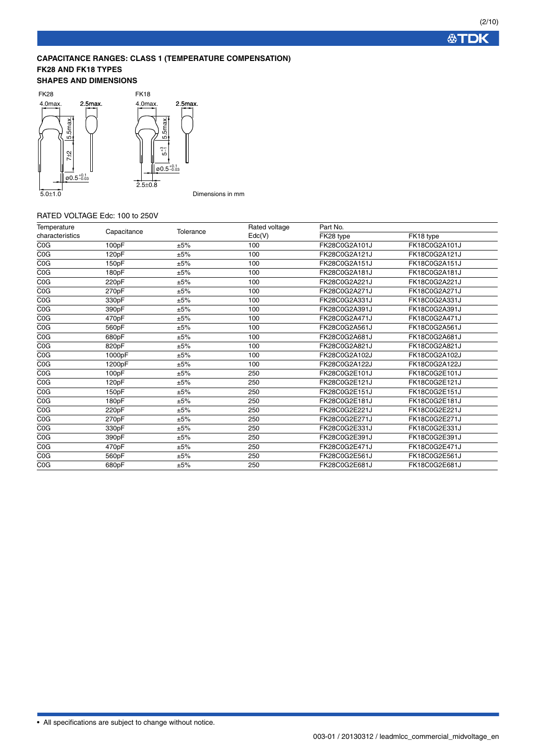**公TDK** 

### **CAPACITANCE RANGES: CLASS 1 (TEMPERATURE COMPENSATION) FK28 AND FK18 TYPES**

#### **SHAPES AND DIMENSIONS**



#### RATED VOLTAGE Edc: 100 to 250V

| Temperature     |             |           | Rated voltage | Part No.      |               |
|-----------------|-------------|-----------|---------------|---------------|---------------|
| characteristics | Capacitance | Tolerance | Edc(V)        | FK28 type     | FK18 type     |
| COG             | 100pF       | ±5%       | 100           | FK28C0G2A101J | FK18C0G2A101J |
| COG             | 120pF       | ±5%       | 100           | FK28C0G2A121J | FK18C0G2A121J |
| COG             | 150pF       | ±5%       | 100           | FK28C0G2A151J | FK18C0G2A151J |
| COG             | 180pF       | ±5%       | 100           | FK28C0G2A181J | FK18C0G2A181J |
| COG             | 220pF       | ±5%       | 100           | FK28C0G2A221J | FK18C0G2A221J |
| COG             | 270pF       | ±5%       | 100           | FK28C0G2A271J | FK18C0G2A271J |
| COG             | 330pF       | ±5%       | 100           | FK28C0G2A331J | FK18C0G2A331J |
| COG             | 390pF       | ±5%       | 100           | FK28C0G2A391J | FK18C0G2A391J |
| COG             | 470pF       | ±5%       | 100           | FK28C0G2A471J | FK18C0G2A471J |
| COG             | 560pF       | ±5%       | 100           | FK28C0G2A561J | FK18C0G2A561J |
| COG             | 680pF       | ±5%       | 100           | FK28C0G2A681J | FK18C0G2A681J |
| COG             | 820pF       | ±5%       | 100           | FK28C0G2A821J | FK18C0G2A821J |
| COG             | 1000pF      | ±5%       | 100           | FK28C0G2A102J | FK18C0G2A102J |
| COG             | 1200pF      | ±5%       | 100           | FK28C0G2A122J | FK18C0G2A122J |
| COG             | 100pF       | ±5%       | 250           | FK28C0G2E101J | FK18C0G2E101J |
| COG             | 120pF       | ±5%       | 250           | FK28C0G2E121J | FK18C0G2E121J |
| COG             | 150pF       | ±5%       | 250           | FK28C0G2E151J | FK18C0G2E151J |
| COG             | 180pF       | ±5%       | 250           | FK28C0G2E181J | FK18C0G2E181J |
| COG             | 220pF       | ±5%       | 250           | FK28C0G2E221J | FK18C0G2E221J |
| COG             | 270pF       | ±5%       | 250           | FK28C0G2E271J | FK18C0G2E271J |
| COG             | 330pF       | ±5%       | 250           | FK28C0G2E331J | FK18C0G2E331J |
| COG             | 390pF       | ±5%       | 250           | FK28C0G2E391J | FK18C0G2E391J |
| COG             | 470pF       | ±5%       | 250           | FK28C0G2E471J | FK18C0G2E471J |
| COG             | 560pF       | ±5%       | 250           | FK28C0G2E561J | FK18C0G2E561J |
| COG             | 680pF       | ±5%       | 250           | FK28C0G2E681J | FK18C0G2E681J |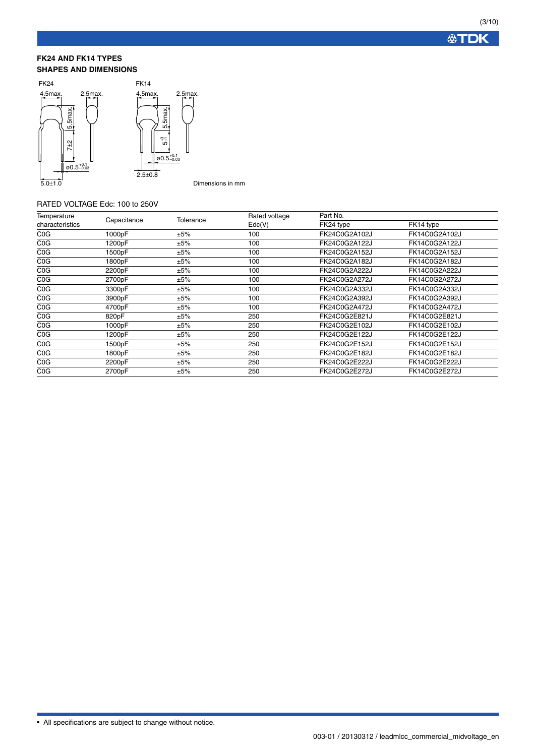#### **FK24 AND FK14 TYPES SHAPES AND DIMENSIONS**



Dimensions in mm

### RATED VOLTAGE Edc: 100 to 250V

| Temperature     |             |           | Rated voltage     | Part No.      |               |
|-----------------|-------------|-----------|-------------------|---------------|---------------|
| characteristics | Capacitance | Tolerance | $\mathsf{Edc}(V)$ | FK24 type     | FK14 type     |
| COG             | 1000pF      | ±5%       | 100               | FK24C0G2A102J | FK14C0G2A102J |
| COG             | 1200pF      | ±5%       | 100               | FK24C0G2A122J | FK14C0G2A122J |
| COG             | 1500pF      | ±5%       | 100               | FK24C0G2A152J | FK14C0G2A152J |
| COG             | 1800pF      | ±5%       | 100               | FK24C0G2A182J | FK14C0G2A182J |
| COG             | 2200pF      | ±5%       | 100               | FK24C0G2A222J | FK14C0G2A222J |
| COG             | 2700pF      | ±5%       | 100               | FK24C0G2A272J | FK14C0G2A272J |
| COG             | 3300pF      | ±5%       | 100               | FK24C0G2A332J | FK14C0G2A332J |
| COG             | 3900pF      | ±5%       | 100               | FK24C0G2A392J | FK14C0G2A392J |
| COG             | 4700pF      | ±5%       | 100               | FK24C0G2A472J | FK14C0G2A472J |
| COG             | 820pF       | ±5%       | 250               | FK24C0G2E821J | FK14C0G2E821J |
| COG             | 1000pF      | ±5%       | 250               | FK24C0G2E102J | FK14C0G2E102J |
| COG             | 1200pF      | ±5%       | 250               | FK24C0G2E122J | FK14C0G2E122J |
| COG             | 1500pF      | ±5%       | 250               | FK24C0G2E152J | FK14C0G2E152J |
| COG             | 1800pF      | ±5%       | 250               | FK24C0G2E182J | FK14C0G2E182J |
| COG             | 2200pF      | ±5%       | 250               | FK24C0G2E222J | FK14C0G2E222J |
| COG             | 2700pF      | ±5%       | 250               | FK24C0G2E272J | FK14C0G2E272J |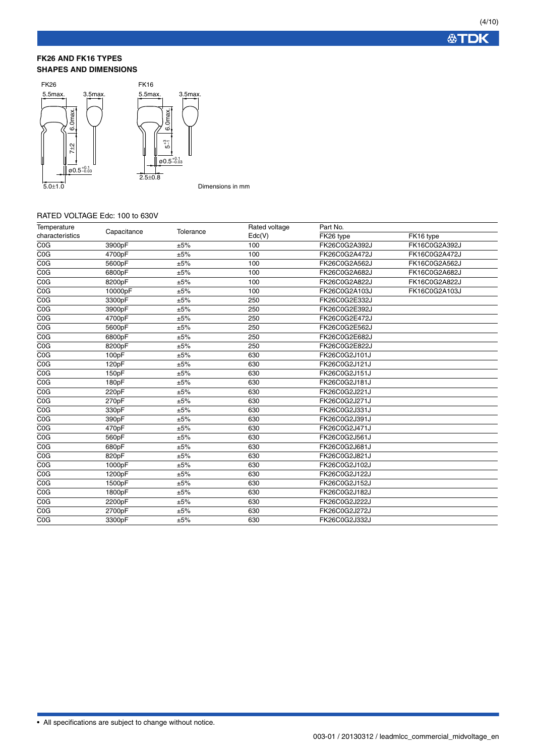#### **FK26 AND FK16 TYPES SHAPES AND DIMENSIONS**



#### Dimensions in mm

### RATED VOLTAGE Edc: 100 to 630V

| Temperature      | Capacitance | Tolerance | Rated voltage     | Part No.      |               |  |
|------------------|-------------|-----------|-------------------|---------------|---------------|--|
| characteristics  |             |           | $\mathsf{Edc}(V)$ | FK26 type     | FK16 type     |  |
| COG              | 3900pF      | ±5%       | 100               | FK26C0G2A392J | FK16C0G2A392J |  |
| COG              | 4700pF      | ±5%       | 100               | FK26C0G2A472J | FK16C0G2A472J |  |
| COG              | 5600pF      | ±5%       | 100               | FK26C0G2A562J | FK16C0G2A562J |  |
| C <sub>0</sub> G | 6800pF      | ±5%       | 100               | FK26C0G2A682J | FK16C0G2A682J |  |
| COG              | 8200pF      | ±5%       | 100               | FK26C0G2A822J | FK16C0G2A822J |  |
| COG              | 10000pF     | ±5%       | 100               | FK26C0G2A103J | FK16C0G2A103J |  |
| COG              | 3300pF      | ±5%       | 250               | FK26C0G2E332J |               |  |
| COG              | 3900pF      | ±5%       | 250               | FK26C0G2E392J |               |  |
| COG              | 4700pF      | ±5%       | 250               | FK26C0G2E472J |               |  |
| COG              | 5600pF      | ±5%       | 250               | FK26C0G2E562J |               |  |
| COG              | 6800pF      | ±5%       | 250               | FK26C0G2E682J |               |  |
| COG              | 8200pF      | ±5%       | 250               | FK26C0G2E822J |               |  |
| COG              | 100pF       | ±5%       | 630               | FK26C0G2J101J |               |  |
| COG              | 120pF       | ±5%       | 630               | FK26C0G2J121J |               |  |
| COG              | 150pF       | ±5%       | 630               | FK26C0G2J151J |               |  |
| COG              | 180pF       | ±5%       | 630               | FK26C0G2J181J |               |  |
| COG              | 220pF       | ±5%       | 630               | FK26C0G2J221J |               |  |
| COG              | 270pF       | ±5%       | 630               | FK26C0G2J271J |               |  |
| COG              | 330pF       | ±5%       | 630               | FK26C0G2J331J |               |  |
| COG              | 390pF       | ±5%       | 630               | FK26C0G2J391J |               |  |
| COG              | 470pF       | ±5%       | 630               | FK26C0G2J471J |               |  |
| COG              | 560pF       | ±5%       | 630               | FK26C0G2J561J |               |  |
| C <sub>0</sub> G | 680pF       | ±5%       | 630               | FK26C0G2J681J |               |  |
| COG              | 820pF       | ±5%       | 630               | FK26C0G2J821J |               |  |
| C <sub>0</sub> G | 1000pF      | ±5%       | 630               | FK26C0G2J102J |               |  |
| COG              | 1200pF      | ±5%       | 630               | FK26C0G2J122J |               |  |
| C <sub>0</sub> G | 1500pF      | ±5%       | 630               | FK26C0G2J152J |               |  |
| COG              | 1800pF      | ±5%       | 630               | FK26C0G2J182J |               |  |
| C <sub>0</sub> G | 2200pF      | ±5%       | 630               | FK26C0G2J222J |               |  |
| COG              | 2700pF      | ±5%       | 630               | FK26C0G2J272J |               |  |
| COG              | 3300pF      | ±5%       | 630               | FK26C0G2J332J |               |  |
|                  |             |           |                   |               |               |  |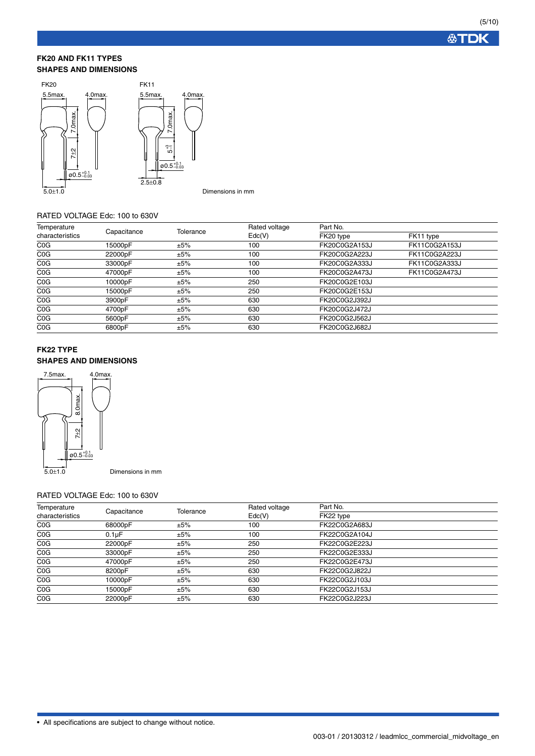**公TDK** 

#### **FK20 AND FK11 TYPES SHAPES AND DIMENSIONS**



#### RATED VOLTAGE Edc: 100 to 630V

| Temperature      |             |           | Rated voltage     | Part No.      |               |
|------------------|-------------|-----------|-------------------|---------------|---------------|
| characteristics  | Capacitance | Tolerance | $\mathsf{Edc}(V)$ | FK20 type     | FK11 type     |
| C <sub>0</sub> G | 15000pF     | ±5%       | 100               | FK20C0G2A153J | FK11C0G2A153J |
| C <sub>0</sub> G | 22000pF     | ±5%       | 100               | FK20C0G2A223J | FK11C0G2A223J |
| C <sub>0</sub> G | 33000pF     | ±5%       | 100               | FK20C0G2A333J | FK11C0G2A333J |
| COG              | 47000pF     | ±5%       | 100               | FK20C0G2A473J | FK11C0G2A473J |
| C <sub>0</sub> G | 10000pF     | ±5%       | 250               | FK20C0G2E103J |               |
| C <sub>0</sub> G | 15000pF     | ±5%       | 250               | FK20C0G2E153J |               |
| C <sub>0</sub> G | 3900pF      | ±5%       | 630               | FK20C0G2J392J |               |
| C <sub>0</sub> G | 4700pF      | ±5%       | 630               | FK20C0G2J472J |               |
| C <sub>0</sub> G | 5600pF      | ±5%       | 630               | FK20C0G2J562J |               |
| COG              | 6800pF      | ±5%       | 630               | FK20C0G2J682J |               |

## **FK22 TYPE SHAPES AND DIMENSIONS**



### RATED VOLTAGE Edc: 100 to 630V

| Temperature      |                    | Tolerance | Rated voltage     | Part No.      |  |
|------------------|--------------------|-----------|-------------------|---------------|--|
| characteristics  | Capacitance        |           | $\mathsf{Edc}(V)$ | FK22 type     |  |
| COG              | 68000pF            | ±5%       | 100               | FK22C0G2A683J |  |
| COG              | 0.1 <sub>u</sub> F | ±5%       | 100               | FK22C0G2A104J |  |
| C <sub>0</sub> G | 22000pF            | ±5%       | 250               | FK22C0G2E223J |  |
| C <sub>0</sub> G | 33000pF            | ±5%       | 250               | FK22C0G2E333J |  |
| COG              | 47000pF            | ±5%       | 250               | FK22C0G2E473J |  |
| C <sub>0</sub> G | 8200pF             | ±5%       | 630               | FK22C0G2J822J |  |
| COG              | 10000pF            | ±5%       | 630               | FK22C0G2J103J |  |
| COG              | 15000pF            | ±5%       | 630               | FK22C0G2J153J |  |
| COG              | 22000pF            | ±5%       | 630               | FK22C0G2J223J |  |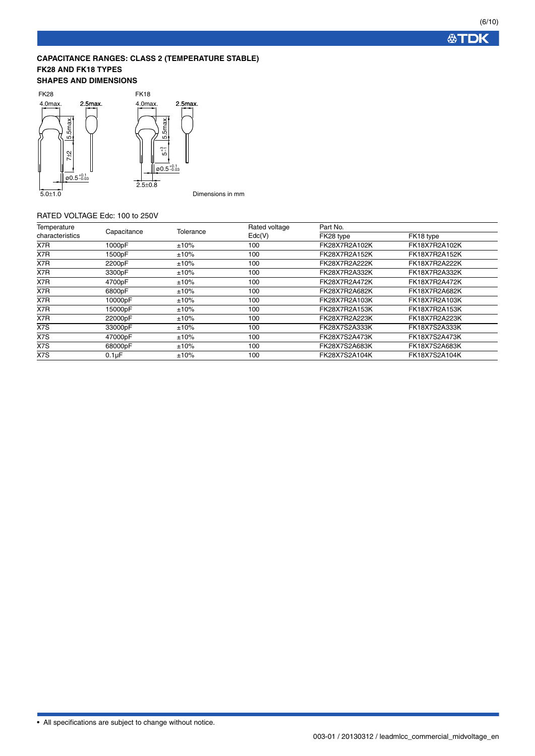**公TDK** 

# **CAPACITANCE RANGES: CLASS 2 (TEMPERATURE STABLE) FK28 AND FK18 TYPES**

## **SHAPES AND DIMENSIONS**



#### RATED VOLTAGE Edc: 100 to 250V

| Temperature     |             |           | Rated voltage<br>$\mathsf{Edc}(V)$ | Part No.      |               |
|-----------------|-------------|-----------|------------------------------------|---------------|---------------|
| characteristics | Capacitance | Tolerance |                                    | FK28 type     | FK18 type     |
| X7R             | 1000pF      | ±10%      | 100                                | FK28X7R2A102K | FK18X7R2A102K |
| X7R             | 1500pF      | ±10%      | 100                                | FK28X7R2A152K | FK18X7R2A152K |
| X7R             | 2200pF      | ±10%      | 100                                | FK28X7R2A222K | FK18X7R2A222K |
| X7R             | 3300pF      | ±10%      | 100                                | FK28X7R2A332K | FK18X7R2A332K |
| X7R             | 4700pF      | ±10%      | 100                                | FK28X7R2A472K | FK18X7R2A472K |
| X7R             | 6800pF      | ±10%      | 100                                | FK28X7R2A682K | FK18X7R2A682K |
| X7R             | 10000pF     | ±10%      | 100                                | FK28X7R2A103K | FK18X7R2A103K |
| X7R             | 15000pF     | ±10%      | 100                                | FK28X7R2A153K | FK18X7R2A153K |
| X7R             | 22000pF     | ±10%      | 100                                | FK28X7R2A223K | FK18X7R2A223K |
| X7S             | 33000pF     | ±10%      | 100                                | FK28X7S2A333K | FK18X7S2A333K |
| X7S             | 47000pF     | ±10%      | 100                                | FK28X7S2A473K | FK18X7S2A473K |
| X7S             | 68000pF     | ±10%      | 100                                | FK28X7S2A683K | FK18X7S2A683K |
| X7S             | $0.1\mu F$  | $±10\%$   | 100                                | FK28X7S2A104K | FK18X7S2A104K |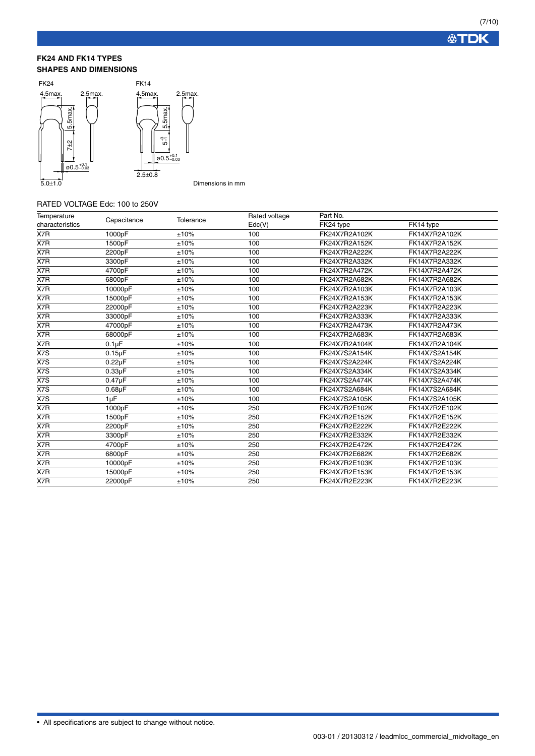#### **FK24 AND FK14 TYPES SHAPES AND DIMENSIONS**



Dimensions in mm

#### RATED VOLTAGE Edc: 100 to 250V

| Temperature      | Capacitance  | Tolerance | Rated voltage | Part No.      |               |
|------------------|--------------|-----------|---------------|---------------|---------------|
| characteristics  |              |           | Edc(V)        | FK24 type     | FK14 type     |
| X7R              | 1000pF       | ±10%      | 100           | FK24X7R2A102K | FK14X7R2A102K |
| $\overline{X7R}$ | 1500pF       | ±10%      | 100           | FK24X7R2A152K | FK14X7R2A152K |
| X7R              | 2200pF       | ±10%      | 100           | FK24X7R2A222K | FK14X7R2A222K |
| X7R              | 3300pF       | ±10%      | 100           | FK24X7R2A332K | FK14X7R2A332K |
| X7R              | 4700pF       | ±10%      | 100           | FK24X7R2A472K | FK14X7R2A472K |
| X7R              | 6800pF       | ±10%      | 100           | FK24X7R2A682K | FK14X7R2A682K |
| X7R              | 10000pF      | ±10%      | 100           | FK24X7R2A103K | FK14X7R2A103K |
| X7R              | 15000pF      | ±10%      | 100           | FK24X7R2A153K | FK14X7R2A153K |
| X7R              | 22000pF      | ±10%      | 100           | FK24X7R2A223K | FK14X7R2A223K |
| X7R              | 33000pF      | ±10%      | 100           | FK24X7R2A333K | FK14X7R2A333K |
| X7R              | 47000pF      | ±10%      | 100           | FK24X7R2A473K | FK14X7R2A473K |
| X7R              | 68000pF      | ±10%      | 100           | FK24X7R2A683K | FK14X7R2A683K |
| X7R              | $0.1\mu F$   | ±10%      | 100           | FK24X7R2A104K | FK14X7R2A104K |
| X7S              | $0.15\mu F$  | ±10%      | 100           | FK24X7S2A154K | FK14X7S2A154K |
| X7S              | $0.22\mu F$  | ±10%      | 100           | FK24X7S2A224K | FK14X7S2A224K |
| X7S              | $0.33\mu F$  | ±10%      | 100           | FK24X7S2A334K | FK14X7S2A334K |
| X7S              | $0.47 \mu F$ | ±10%      | 100           | FK24X7S2A474K | FK14X7S2A474K |
| X7S              | $0.68\mu F$  | ±10%      | 100           | FK24X7S2A684K | FK14X7S2A684K |
| X7S              | 1µF          | ±10%      | 100           | FK24X7S2A105K | FK14X7S2A105K |
| X7R              | 1000pF       | ±10%      | 250           | FK24X7R2E102K | FK14X7R2E102K |
| X7R              | 1500pF       | ±10%      | 250           | FK24X7R2E152K | FK14X7R2E152K |
| X7R              | 2200pF       | ±10%      | 250           | FK24X7R2E222K | FK14X7R2E222K |
| X7R              | 3300pF       | ±10%      | 250           | FK24X7R2E332K | FK14X7R2E332K |
| X7R              | 4700pF       | ±10%      | 250           | FK24X7R2E472K | FK14X7R2E472K |
| X7R              | 6800pF       | ±10%      | 250           | FK24X7R2E682K | FK14X7R2E682K |
| X7R              | 10000pF      | ±10%      | 250           | FK24X7R2E103K | FK14X7R2E103K |
| X7R              | 15000pF      | ±10%      | 250           | FK24X7R2E153K | FK14X7R2E153K |
| X7R              | 22000pF      | ±10%      | 250           | FK24X7R2E223K | FK14X7R2E223K |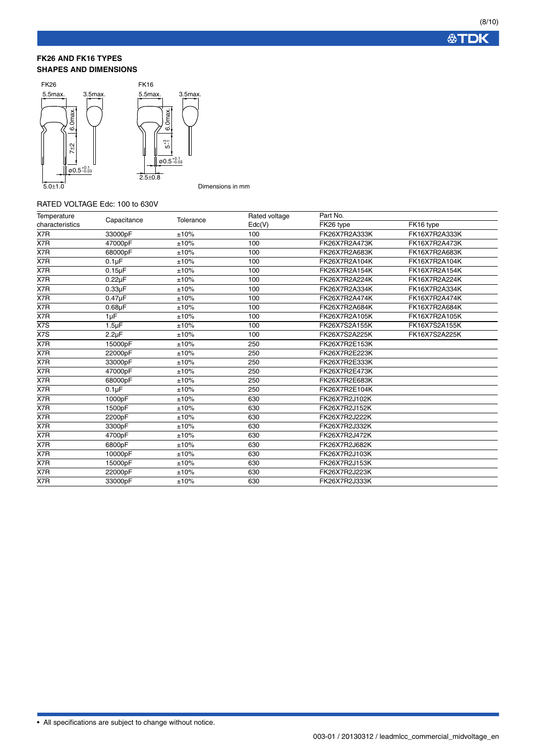#### **FK26 AND FK16 TYPES SHAPES AND DIMENSIONS**



Dimensions in mm

### RATED VOLTAGE Edc: 100 to 630V

| Temperature     | Capacitance        | Tolerance | Rated voltage | Part No.      |               |
|-----------------|--------------------|-----------|---------------|---------------|---------------|
| characteristics |                    |           | Edc(V)        | FK26 type     | FK16 type     |
| X7R             | 33000pF            | ±10%      | 100           | FK26X7R2A333K | FK16X7R2A333K |
| X7R             | 47000pF            | ±10%      | 100           | FK26X7R2A473K | FK16X7R2A473K |
| X7R             | 68000pF            | ±10%      | 100           | FK26X7R2A683K | FK16X7R2A683K |
| X7R             | 0.1 <sub>µ</sub> F | ±10%      | 100           | FK26X7R2A104K | FK16X7R2A104K |
| X7R             | $0.15\mu F$        | ±10%      | 100           | FK26X7R2A154K | FK16X7R2A154K |
| X7R             | $0.22\mu F$        | ±10%      | 100           | FK26X7R2A224K | FK16X7R2A224K |
| X7R             | $0.33\mu F$        | ±10%      | 100           | FK26X7R2A334K | FK16X7R2A334K |
| X7R             | $0.47\mu F$        | ±10%      | 100           | FK26X7R2A474K | FK16X7R2A474K |
| X7R             | $0.68\mu F$        | ±10%      | 100           | FK26X7R2A684K | FK16X7R2A684K |
| X7R             | 1µF                | ±10%      | 100           | FK26X7R2A105K | FK16X7R2A105K |
| X7S             | $1.5 \mu F$        | ±10%      | 100           | FK26X7S2A155K | FK16X7S2A155K |
| X7S             | $2.2 \mu F$        | ±10%      | 100           | FK26X7S2A225K | FK16X7S2A225K |
| X7R             | 15000pF            | ±10%      | 250           | FK26X7R2E153K |               |
| X7R             | 22000pF            | ±10%      | 250           | FK26X7R2E223K |               |
| X7R             | 33000pF            | ±10%      | 250           | FK26X7R2E333K |               |
| X7R             | 47000pF            | ±10%      | 250           | FK26X7R2E473K |               |
| X7R             | 68000pF            | ±10%      | 250           | FK26X7R2E683K |               |
| X7R             | $0.1 \mu F$        | ±10%      | 250           | FK26X7R2E104K |               |
| X7R             | 1000pF             | ±10%      | 630           | FK26X7R2J102K |               |
| X7R             | 1500pF             | ±10%      | 630           | FK26X7R2J152K |               |
| X7R             | 2200pF             | ±10%      | 630           | FK26X7R2J222K |               |
| X7R             | 3300pF             | ±10%      | 630           | FK26X7R2J332K |               |
| X7R             | 4700pF             | ±10%      | 630           | FK26X7R2J472K |               |
| X7R             | 6800pF             | ±10%      | 630           | FK26X7R2J682K |               |
| X7R             | 10000pF            | ±10%      | 630           | FK26X7R2J103K |               |
| X7R             | 15000pF            | ±10%      | 630           | FK26X7R2J153K |               |
| X7R             | 22000pF            | ±10%      | 630           | FK26X7R2J223K |               |
| X7R             | 33000pF            | ±10%      | 630           | FK26X7R2J333K |               |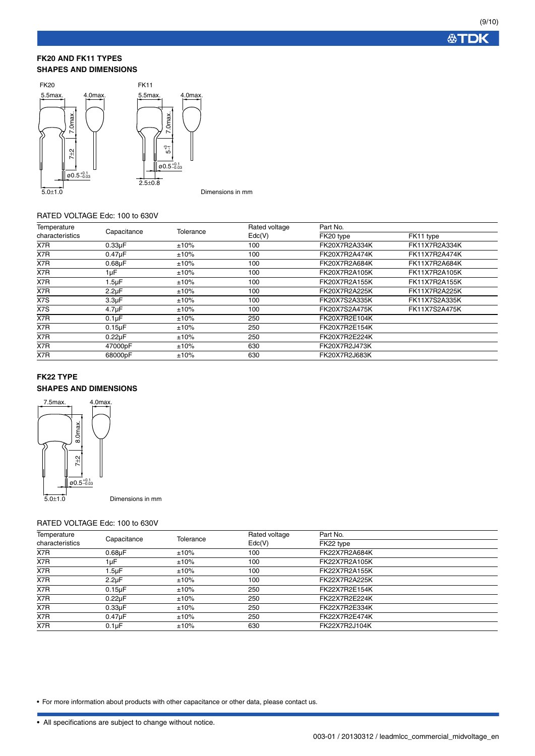#### **FK20 AND FK11 TYPES SHAPES AND DIMENSIONS**



#### RATED VOLTAGE Edc: 100 to 630V

| Temperature<br>characteristics |                    |           | Rated voltage | Part No.      |               |  |
|--------------------------------|--------------------|-----------|---------------|---------------|---------------|--|
|                                | Capacitance        | Tolerance | Edc(V)        | FK20 type     | FK11 type     |  |
| X7R                            | $0.33\mu F$        | ±10%      | 100           | FK20X7R2A334K | FK11X7R2A334K |  |
| X7R                            | $0.47 \mu F$       | ±10%      | 100           | FK20X7R2A474K | FK11X7R2A474K |  |
| X7R                            | $0.68\mu F$        | ±10%      | 100           | FK20X7R2A684K | FK11X7R2A684K |  |
| X7R                            | 1µF                | ±10%      | 100           | FK20X7R2A105K | FK11X7R2A105K |  |
| X7R                            | $1.5 \mu F$        | ±10%      | 100           | FK20X7R2A155K | FK11X7R2A155K |  |
| X7R                            | $2.2\mu F$         | ±10%      | 100           | FK20X7R2A225K | FK11X7R2A225K |  |
| X7S                            | 3.3 <sub>µ</sub> F | ±10%      | 100           | FK20X7S2A335K | FK11X7S2A335K |  |
| X7S                            | $4.7 \mu F$        | ±10%      | 100           | FK20X7S2A475K | FK11X7S2A475K |  |
| X7R                            | 0.1 <sub>µ</sub> F | ±10%      | 250           | FK20X7R2E104K |               |  |
| X7R                            | $0.15\mu F$        | ±10%      | 250           | FK20X7R2E154K |               |  |
| X7R                            | $0.22\mu F$        | ±10%      | 250           | FK20X7R2E224K |               |  |
| X7R                            | 47000pF            | ±10%      | 630           | FK20X7R2J473K |               |  |
| X7R                            | 68000pF            | ±10%      | 630           | FK20X7R2J683K |               |  |

#### **FK22 TYPE**

### **SHAPES AND DIMENSIONS**



Dimensions in mm

### RATED VOLTAGE Edc: 100 to 630V

| Temperature<br>characteristics |                    | Tolerance | Rated voltage              | Part No.      |  |
|--------------------------------|--------------------|-----------|----------------------------|---------------|--|
|                                | Capacitance        |           | $\mathsf{Edc}(\mathsf{V})$ | FK22 type     |  |
| X7R                            | $0.68\mu F$        | ±10%      | 100                        | FK22X7R2A684K |  |
| X7R                            | 1µF                | ±10%      | 100                        | FK22X7R2A105K |  |
| X7R                            | l.5µF              | ±10%      | 100                        | FK22X7R2A155K |  |
| X7R                            | $2.2 \mu F$        | ±10%      | 100                        | FK22X7R2A225K |  |
| X7R                            | $0.15\mu F$        | ±10%      | 250                        | FK22X7R2E154K |  |
| X7R                            | $0.22\mu F$        | ±10%      | 250                        | FK22X7R2E224K |  |
| X7R                            | $0.33\mu F$        | ±10%      | 250                        | FK22X7R2E334K |  |
| X7R                            | $0.47 \mu F$       | ±10%      | 250                        | FK22X7R2E474K |  |
| X7R                            | 0.1 <sub>µ</sub> F | ±10%      | 630                        | FK22X7R2J104K |  |

• For more information about products with other capacitance or other data, please contact us.